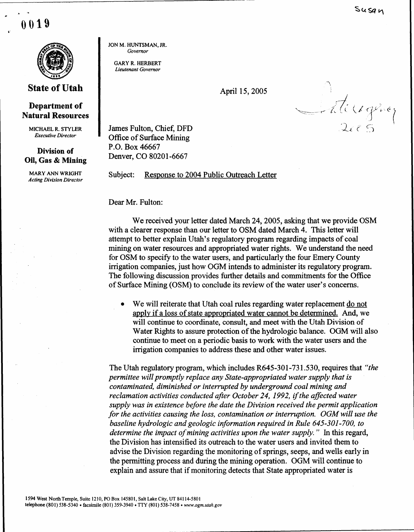0019

Susan



## State of Utah

## Department of Natural Resources

MICHAEL R. STYLER Executive Director

## Division of Oil, Gas & Mining

MARY ANN WRIGHT Acting Division Director JON M. HUNTSMAN, JR. Governor

**GARY R. HERBERT** Lieutenant Governor

April 15, 2005

Satissiphone

James Fulton, Chief, DFD Office of Surface Mining P.O. Box 46667 Denver, CO 80201-6667

Subject: Response to 2004 Public Outreach Letter

Dear Mr. Fulton:

We received your letter dated March 24, 2005, asking that we provide OSM with a clearer response than our letter to OSM dated March 4. This letter will attempt to better explain Utah's regulatory program regarding impacts of coal mining on water resources and appropriated water rights. We understand the need for OSM to specify to the water users, and particularly the four Emery County irrigation companies, just how OGM intends to administer its regulatory program . The following discussion provides further details and commitments for the Office of Surface Mining (OSM) to conclude its review of the water user's concerns .

• We will reiterate that Utah coal rules regarding water replacement do not apply if a loss of state appropriated water cannot be determined. And, we will continue to coordinate, consult, and meet with the Utah Division of Water Rights to assure protection of the hydrologic balance. OGM will also continue to meet on a periodic basis to work with the water users and the irrigation companies to address these and other water issues .

The Utah regulatory program, which includes R645-301-731 .530, requires that "the permittee will promptly replace any State-appropriated water supply that is contaminated, diminished or interrupted by underground coal mining and reclamation activities conducted after October 24, 1992, if the affected water supply was in existence before the date the Division received the permit application for the activities causing the loss, contamination or interruption. OGM will use the baseline hydrologic and geologic information required in Rule 645-301-700, to determine the impact of mining activities upon the water supply." In this regard, the Division has intensified its outreach to the water users and invited them to advise the Division regarding the monitoring of springs, seeps, and wells early in the permitting process and during the mining operation. OGM will continue to explain and assure that if monitoring detects that State appropriated water is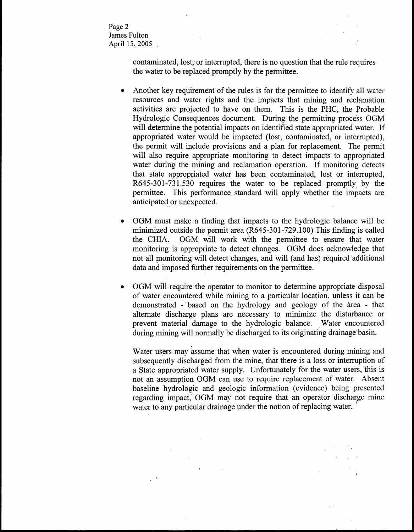Page 2 James Fulton April 15, 2005

> contaminated, lost, or interrupted, there is no question that the rule requires the water to be replaced promptly by the permittee .

- Another key requirement of the rules is for the permittee to identify all water resources and water rights and the impacts that mining and reclamation activities are projected to have on them. This is the PHC, the Probable Hydrologic Consequences document. During the permitting process OGM will determine the potential impacts on identified state appropriated water. If appropriated water would be impacted (lost, contaminated, or interrupted), the permit will include provisions and a plan for replacement. The permit will also require appropriate monitoring to detect impacts to appropriated water during the mining and reclamation operation. If monitoring detects that state appropriated water has been contaminated, lost or interrupted, R645-301-731 .530 requires the water to be replaced promptly, by the permittee. This performance standard will apply whether the impacts are anticipated or unexpected .
- OGM must make a finding that impacts to the hydrologic balance will be minimized outside the permit area (R645-301-729 .100) This finding is called the CHIA. OGM will work with the permittee to ensure that water monitoring is appropriate to detect changes. OGM does acknowledge that not all monitoring will detect changes, and will (and has) required 'additional data and imposed further requirements on the permittee.
- OGM will require the operator to monitor to determine appropriate disposal of water encountered while mining to a particular location, unless it can be demonstrated - based on the hydrology and geology of the area - that alternate discharge plans are necessary to minimize the disturbance or prevent material damage to the hydrologic balance. Water encountered during mining will normally be discharged to its originating drainage basin.

Water users may assume that when water is encountered during mining and subsequently discharged from the mine, that there is a loss or interruption of a State appropriated water supply. Unfortunately for the water users, this is not an assumption OGM can use to require replacement of water. Absent baseline hydrologic and geologic information (evidence) being presented regarding impact, OGM may not require that an operator discharge mine water to any particular drainage under the notion of replacing water.